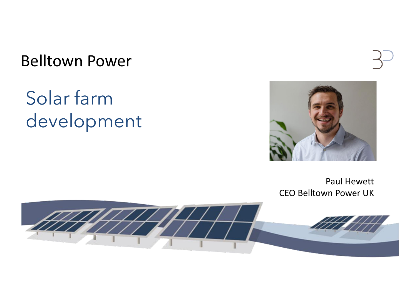Belltown Power

Solar farm development



# Paul Hewett



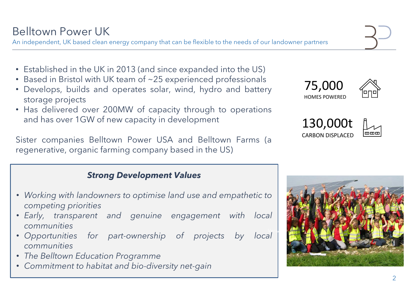## Belltown Power UK

An independent, UK based clean energy company that can be flexible to the needs of our landowner partners

- Established in the UK in 2013 (and since expanded into the US)
- Based in Bristol with UK team of ~25 experienced professionals
- Develops, builds and operates solar, wind, hydro and battery storage projects
- Has delivered over 200MW of capacity through to operations and has over 1GW of new capacity in development

Sister companies Belltown Power USA and Belltown Farms (a regenerative, organic farming company based in the US)









#### 130,000t CARBON DISPLACED



#### *Strong Development Values*

- *Working with landowners to optimise land use and empathetic to competing priorities*
- *Early, transparent and genuine engagement with local communities*
- *Opportunities for part-ownership of projects by local communities*
- *The Belltown Education Programme*
- *Commitment to habitat and bio-diversity net-gain*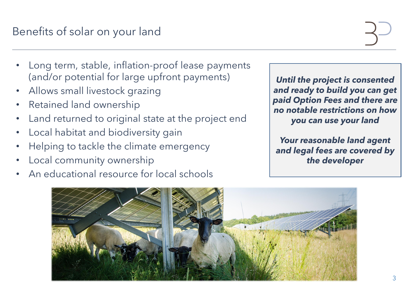# Benefits of solar on your land

- Long term, stable, inflation-proof lease payments (and/or potential for large upfront payments)
- Allows small livestock grazing
- Retained land ownership
- Land returned to original state at the project end
- Local habitat and biodiversity gain
- Helping to tackle the climate emergency
- Local community ownership
- An educational resource for local schools

#### *Until the project is consented and ready to build you can get paid Option Fees and there are no notable restrictions on how you can use your land*

*Your reasonable land agent and legal fees are covered by the developer*

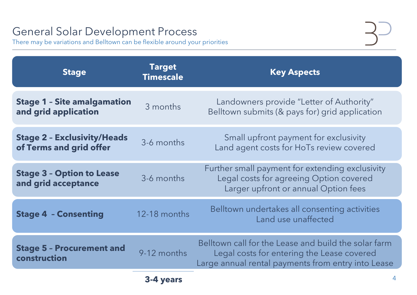### General Solar Development Process

There may be variations and Belltown can be flexible around your priorities

| <b>Stage</b>                                                  | <b>Target</b><br><b>Timescale</b> | <b>Key Aspects</b>                                                                                                                              |
|---------------------------------------------------------------|-----------------------------------|-------------------------------------------------------------------------------------------------------------------------------------------------|
| <b>Stage 1 - Site amalgamation</b><br>and grid application    | 3 months                          | Landowners provide "Letter of Authority"<br>Belltown submits (& pays for) grid application                                                      |
| <b>Stage 2 - Exclusivity/Heads</b><br>of Terms and grid offer | 3-6 months                        | Small upfront payment for exclusivity<br>Land agent costs for HoTs review covered                                                               |
| <b>Stage 3 - Option to Lease</b><br>and grid acceptance       | 3-6 months                        | Further small payment for extending exclusiv<br>Legal costs for agreeing Option covered<br>Larger upfront or annual Option fees                 |
| <b>Stage 4 - Consenting</b>                                   | 12-18 months                      | Belltown undertakes all consenting activitie<br>Land use unaffected                                                                             |
| <b>Stage 5 - Procurement and</b><br>construction              | 9-12 months                       | Belltown call for the Lease and build the solar<br>Legal costs for entering the Lease covered<br>Large annual rental payments from entry into I |
|                                                               | 3-4 years                         |                                                                                                                                                 |

r) grid application

tending exclusivity **Dption covered** I Option fees

**Senting** activities ected

build the solar farm e Lease covered irom entry into Lease